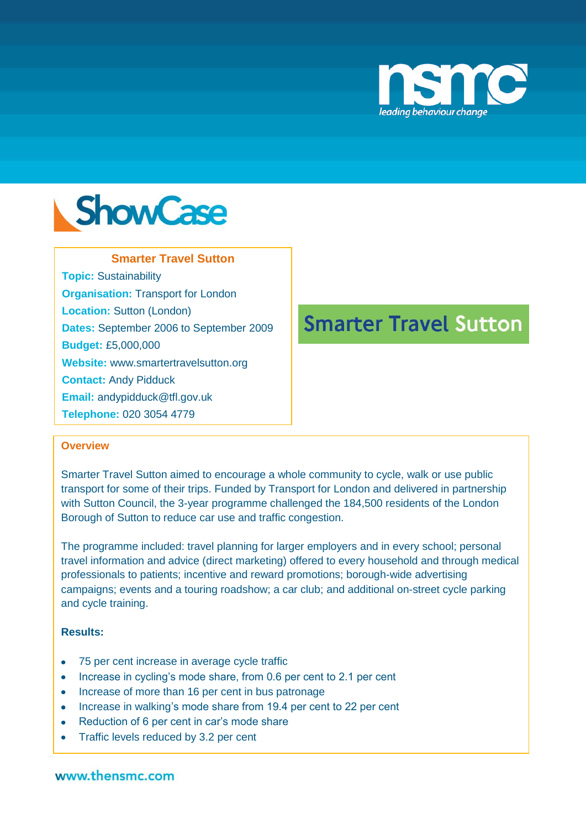



## **Smarter Travel Sutton**

**Topic:** Sustainability **Organisation:** Transport for London **Location:** Sutton (London) **Dates:** September 2006 to September 2009 **Budget:** £5,000,000 **Website:** www.smartertravelsutton.org **Contact:** Andy Pidduck

**Email:** andypidduck@tfl.gov.uk

**Telephone:** 020 3054 4779

# **Smarter Travel Sutton**

#### **Overview**

Smarter Travel Sutton aimed to encourage a whole community to cycle, walk or use public transport for some of their trips. Funded by Transport for London and delivered in partnership with Sutton Council, the 3-year programme challenged the 184,500 residents of the London Borough of Sutton to reduce car use and traffic congestion.

The programme included: travel planning for larger employers and in every school; personal travel information and advice (direct marketing) offered to every household and through medical professionals to patients; incentive and reward promotions; borough-wide advertising campaigns; events and a touring roadshow; a car club; and additional on-street cycle parking and cycle training.

## **Results:**

- 75 per cent increase in average cycle traffic
- Increase in cycling's mode share, from 0.6 per cent to 2.1 per cent
- Increase of more than 16 per cent in bus patronage
- Increase in walking's mode share from 19.4 per cent to 22 per cent
- Reduction of 6 per cent in car's mode share
- $\bullet$ Traffic levels reduced by 3.2 per cent